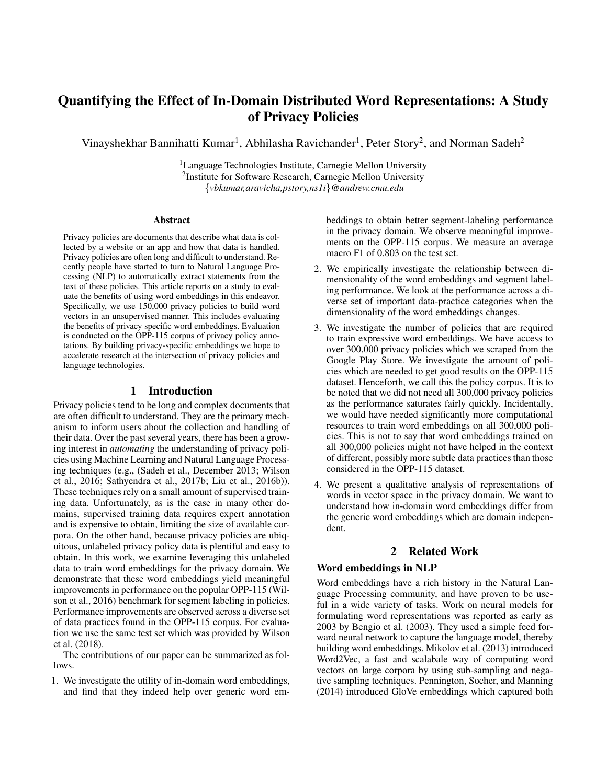# Quantifying the Effect of In-Domain Distributed Word Representations: A Study of Privacy Policies

Vinayshekhar Bannihatti Kumar<sup>1</sup>, Abhilasha Ravichander<sup>1</sup>, Peter Story<sup>2</sup>, and Norman Sadeh<sup>2</sup>

<sup>1</sup>Language Technologies Institute, Carnegie Mellon University <sup>2</sup>Institute for Software Research, Carnegie Mellon University {*vbkumar,aravicha,pstory,ns1i*}*@andrew.cmu.edu*

#### Abstract

Privacy policies are documents that describe what data is collected by a website or an app and how that data is handled. Privacy policies are often long and difficult to understand. Recently people have started to turn to Natural Language Processing (NLP) to automatically extract statements from the text of these policies. This article reports on a study to evaluate the benefits of using word embeddings in this endeavor. Specifically, we use 150,000 privacy policies to build word vectors in an unsupervised manner. This includes evaluating the benefits of privacy specific word embeddings. Evaluation is conducted on the OPP-115 corpus of privacy policy annotations. By building privacy-specific embeddings we hope to accelerate research at the intersection of privacy policies and language technologies.

#### 1 Introduction

Privacy policies tend to be long and complex documents that are often difficult to understand. They are the primary mechanism to inform users about the collection and handling of their data. Over the past several years, there has been a growing interest in *automating* the understanding of privacy policies using Machine Learning and Natural Language Processing techniques (e.g., (Sadeh et al., December 2013; Wilson et al., 2016; Sathyendra et al., 2017b; Liu et al., 2016b)). These techniques rely on a small amount of supervised training data. Unfortunately, as is the case in many other domains, supervised training data requires expert annotation and is expensive to obtain, limiting the size of available corpora. On the other hand, because privacy policies are ubiquitous, unlabeled privacy policy data is plentiful and easy to obtain. In this work, we examine leveraging this unlabeled data to train word embeddings for the privacy domain. We demonstrate that these word embeddings yield meaningful improvements in performance on the popular OPP-115 (Wilson et al., 2016) benchmark for segment labeling in policies. Performance improvements are observed across a diverse set of data practices found in the OPP-115 corpus. For evaluation we use the same test set which was provided by Wilson et al. (2018).

The contributions of our paper can be summarized as follows.

1. We investigate the utility of in-domain word embeddings, and find that they indeed help over generic word embeddings to obtain better segment-labeling performance in the privacy domain. We observe meaningful improvements on the OPP-115 corpus. We measure an average macro F1 of 0.803 on the test set.

- 2. We empirically investigate the relationship between dimensionality of the word embeddings and segment labeling performance. We look at the performance across a diverse set of important data-practice categories when the dimensionality of the word embeddings changes.
- 3. We investigate the number of policies that are required to train expressive word embeddings. We have access to over 300,000 privacy policies which we scraped from the Google Play Store. We investigate the amount of policies which are needed to get good results on the OPP-115 dataset. Henceforth, we call this the policy corpus. It is to be noted that we did not need all 300,000 privacy policies as the performance saturates fairly quickly. Incidentally, we would have needed significantly more computational resources to train word embeddings on all 300,000 policies. This is not to say that word embeddings trained on all 300,000 policies might not have helped in the context of different, possibly more subtle data practices than those considered in the OPP-115 dataset.
- 4. We present a qualitative analysis of representations of words in vector space in the privacy domain. We want to understand how in-domain word embeddings differ from the generic word embeddings which are domain independent.

## 2 Related Work

#### Word embeddings in NLP

Word embeddings have a rich history in the Natural Language Processing community, and have proven to be useful in a wide variety of tasks. Work on neural models for formulating word representations was reported as early as 2003 by Bengio et al. (2003). They used a simple feed forward neural network to capture the language model, thereby building word embeddings. Mikolov et al. (2013) introduced Word2Vec, a fast and scalabale way of computing word vectors on large corpora by using sub-sampling and negative sampling techniques. Pennington, Socher, and Manning (2014) introduced GloVe embeddings which captured both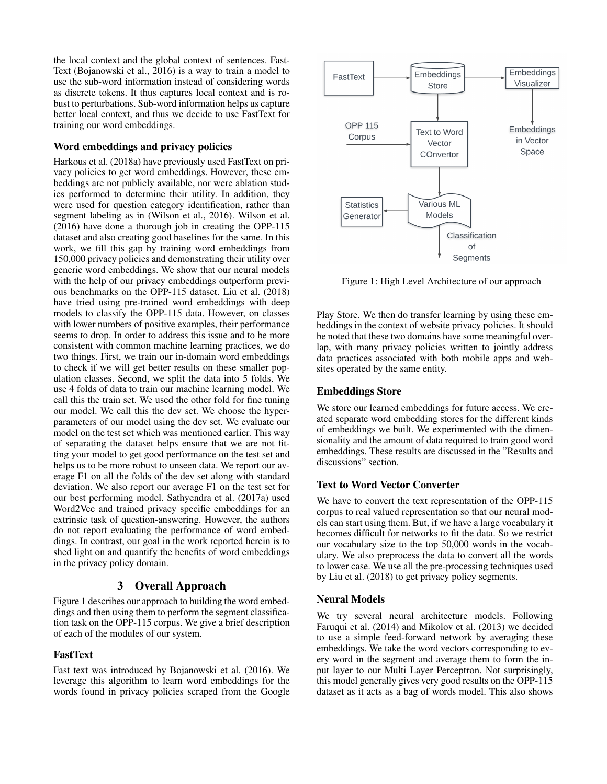the local context and the global context of sentences. Fast-Text (Bojanowski et al., 2016) is a way to train a model to use the sub-word information instead of considering words as discrete tokens. It thus captures local context and is robust to perturbations. Sub-word information helps us capture better local context, and thus we decide to use FastText for training our word embeddings.

## Word embeddings and privacy policies

Harkous et al. (2018a) have previously used FastText on privacy policies to get word embeddings. However, these embeddings are not publicly available, nor were ablation studies performed to determine their utility. In addition, they were used for question category identification, rather than segment labeling as in (Wilson et al., 2016). Wilson et al. (2016) have done a thorough job in creating the OPP-115 dataset and also creating good baselines for the same. In this work, we fill this gap by training word embeddings from 150,000 privacy policies and demonstrating their utility over generic word embeddings. We show that our neural models with the help of our privacy embeddings outperform previous benchmarks on the OPP-115 dataset. Liu et al. (2018) have tried using pre-trained word embeddings with deep models to classify the OPP-115 data. However, on classes with lower numbers of positive examples, their performance seems to drop. In order to address this issue and to be more consistent with common machine learning practices, we do two things. First, we train our in-domain word embeddings to check if we will get better results on these smaller population classes. Second, we split the data into 5 folds. We use 4 folds of data to train our machine learning model. We call this the train set. We used the other fold for fine tuning our model. We call this the dev set. We choose the hyperparameters of our model using the dev set. We evaluate our model on the test set which was mentioned earlier. This way of separating the dataset helps ensure that we are not fitting your model to get good performance on the test set and helps us to be more robust to unseen data. We report our average F1 on all the folds of the dev set along with standard deviation. We also report our average F1 on the test set for our best performing model. Sathyendra et al. (2017a) used Word2Vec and trained privacy specific embeddings for an extrinsic task of question-answering. However, the authors do not report evaluating the performance of word embeddings. In contrast, our goal in the work reported herein is to shed light on and quantify the benefits of word embeddings in the privacy policy domain.

# 3 Overall Approach

Figure 1 describes our approach to building the word embeddings and then using them to perform the segment classification task on the OPP-115 corpus. We give a brief description of each of the modules of our system.

# FastText

Fast text was introduced by Bojanowski et al. (2016). We leverage this algorithm to learn word embeddings for the words found in privacy policies scraped from the Google



Figure 1: High Level Architecture of our approach

Play Store. We then do transfer learning by using these embeddings in the context of website privacy policies. It should be noted that these two domains have some meaningful overlap, with many privacy policies written to jointly address data practices associated with both mobile apps and websites operated by the same entity.

## Embeddings Store

We store our learned embeddings for future access. We created separate word embedding stores for the different kinds of embeddings we built. We experimented with the dimensionality and the amount of data required to train good word embeddings. These results are discussed in the "Results and discussions" section.

# Text to Word Vector Converter

We have to convert the text representation of the OPP-115 corpus to real valued representation so that our neural models can start using them. But, if we have a large vocabulary it becomes difficult for networks to fit the data. So we restrict our vocabulary size to the top 50,000 words in the vocabulary. We also preprocess the data to convert all the words to lower case. We use all the pre-processing techniques used by Liu et al. (2018) to get privacy policy segments.

#### Neural Models

We try several neural architecture models. Following Faruqui et al. (2014) and Mikolov et al. (2013) we decided to use a simple feed-forward network by averaging these embeddings. We take the word vectors corresponding to every word in the segment and average them to form the input layer to our Multi Layer Perceptron. Not surprisingly, this model generally gives very good results on the OPP-115 dataset as it acts as a bag of words model. This also shows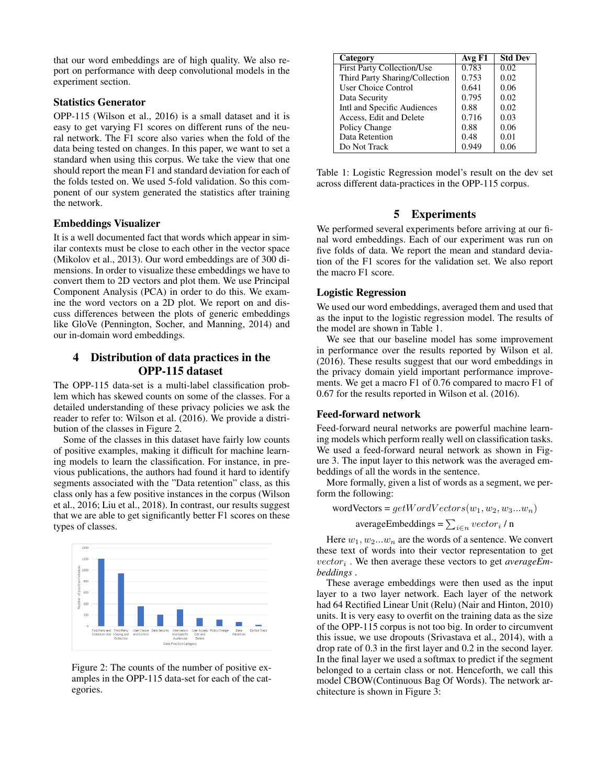that our word embeddings are of high quality. We also report on performance with deep convolutional models in the experiment section.

## Statistics Generator

OPP-115 (Wilson et al., 2016) is a small dataset and it is easy to get varying F1 scores on different runs of the neural network. The F1 score also varies when the fold of the data being tested on changes. In this paper, we want to set a standard when using this corpus. We take the view that one should report the mean F1 and standard deviation for each of the folds tested on. We used 5-fold validation. So this component of our system generated the statistics after training the network.

## Embeddings Visualizer

It is a well documented fact that words which appear in similar contexts must be close to each other in the vector space (Mikolov et al., 2013). Our word embeddings are of 300 dimensions. In order to visualize these embeddings we have to convert them to 2D vectors and plot them. We use Principal Component Analysis (PCA) in order to do this. We examine the word vectors on a 2D plot. We report on and discuss differences between the plots of generic embeddings like GloVe (Pennington, Socher, and Manning, 2014) and our in-domain word embeddings.

# 4 Distribution of data practices in the OPP-115 dataset

The OPP-115 data-set is a multi-label classification problem which has skewed counts on some of the classes. For a detailed understanding of these privacy policies we ask the reader to refer to: Wilson et al. (2016). We provide a distribution of the classes in Figure 2.

Some of the classes in this dataset have fairly low counts of positive examples, making it difficult for machine learning models to learn the classification. For instance, in previous publications, the authors had found it hard to identify segments associated with the "Data retention" class, as this class only has a few positive instances in the corpus (Wilson et al., 2016; Liu et al., 2018). In contrast, our results suggest that we are able to get significantly better F1 scores on these types of classes.



Figure 2: The counts of the number of positive examples in the OPP-115 data-set for each of the categories.

| Category                       | Avg F1 | <b>Std Dev</b> |
|--------------------------------|--------|----------------|
| First Party Collection/Use     | 0.783  | 0.02           |
| Third Party Sharing/Collection | 0.753  | 0.02           |
| <b>User Choice Control</b>     | 0.641  | 0.06           |
| Data Security                  | 0.795  | 0.02           |
| Intl and Specific Audiences    | 0.88   | 0.02           |
| Access, Edit and Delete        | 0.716  | 0.03           |
| Policy Change                  | 0.88   | 0.06           |
| Data Retention                 | 0.48   | 0.01           |
| Do Not Track                   | 0.949  | 0.06           |

Table 1: Logistic Regression model's result on the dev set across different data-practices in the OPP-115 corpus.

## 5 Experiments

We performed several experiments before arriving at our final word embeddings. Each of our experiment was run on five folds of data. We report the mean and standard deviation of the F1 scores for the validation set. We also report the macro F1 score.

## Logistic Regression

We used our word embeddings, averaged them and used that as the input to the logistic regression model. The results of the model are shown in Table 1.

We see that our baseline model has some improvement in performance over the results reported by Wilson et al. (2016). These results suggest that our word embeddings in the privacy domain yield important performance improvements. We get a macro F1 of 0.76 compared to macro F1 of 0.67 for the results reported in Wilson et al. (2016).

#### Feed-forward network

Feed-forward neural networks are powerful machine learning models which perform really well on classification tasks. We used a feed-forward neural network as shown in Figure 3. The input layer to this network was the averaged embeddings of all the words in the sentence.

More formally, given a list of words as a segment, we perform the following:

$$
wordVectors = getWordVectors(w_1, w_2, w_3...w_n)
$$

averageEmbeddings =  $\sum_{i \in n} vector_i / n$ 

Here  $w_1, w_2...w_n$  are the words of a sentence. We convert these text of words into their vector representation to get vector<sup>i</sup> . We then average these vectors to get *averageEmbeddings* .

These average embeddings were then used as the input layer to a two layer network. Each layer of the network had 64 Rectified Linear Unit (Relu) (Nair and Hinton, 2010) units. It is very easy to overfit on the training data as the size of the OPP-115 corpus is not too big. In order to circumvent this issue, we use dropouts (Srivastava et al., 2014), with a drop rate of 0.3 in the first layer and 0.2 in the second layer. In the final layer we used a softmax to predict if the segment belonged to a certain class or not. Henceforth, we call this model CBOW(Continuous Bag Of Words). The network architecture is shown in Figure 3: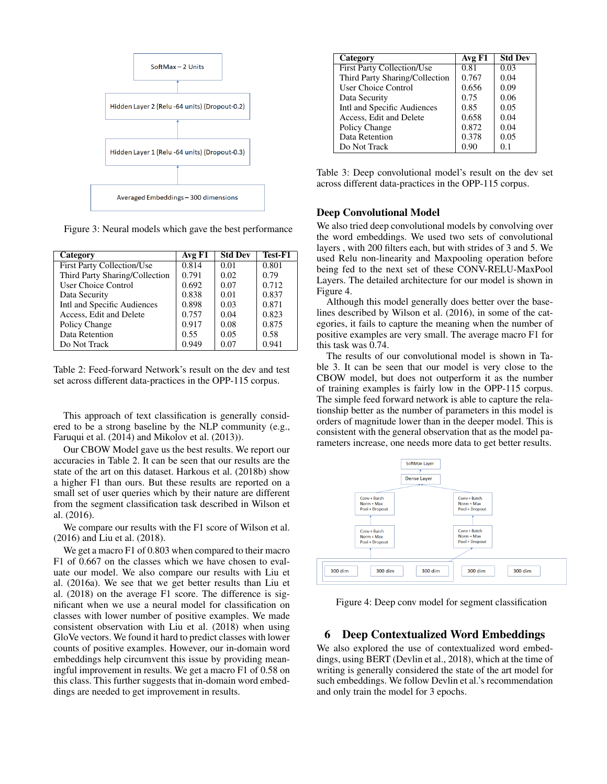

Figure 3: Neural models which gave the best performance

| Category                          | Avg F1 | <b>Std Dev</b> | Test-F1 |
|-----------------------------------|--------|----------------|---------|
| <b>First Party Collection/Use</b> | 0.814  | 0.01           | 0.801   |
| Third Party Sharing/Collection    | 0.791  | 0.02           | 0.79    |
| <b>User Choice Control</b>        | 0.692  | 0.07           | 0.712   |
| Data Security                     | 0.838  | 0.01           | 0.837   |
| Intl and Specific Audiences       | 0.898  | 0.03           | 0.871   |
| Access, Edit and Delete           | 0.757  | 0.04           | 0.823   |
| Policy Change                     | 0.917  | 0.08           | 0.875   |
| Data Retention                    | 0.55   | 0.05           | 0.58    |
| Do Not Track                      | 0.949  | 0.07           | 0.941   |

Table 2: Feed-forward Network's result on the dev and test set across different data-practices in the OPP-115 corpus.

This approach of text classification is generally considered to be a strong baseline by the NLP community (e.g., Faruqui et al. (2014) and Mikolov et al. (2013)).

Our CBOW Model gave us the best results. We report our accuracies in Table 2. It can be seen that our results are the state of the art on this dataset. Harkous et al. (2018b) show a higher F1 than ours. But these results are reported on a small set of user queries which by their nature are different from the segment classification task described in Wilson et al. (2016).

We compare our results with the F1 score of Wilson et al. (2016) and Liu et al. (2018).

We get a macro F1 of 0.803 when compared to their macro F1 of 0.667 on the classes which we have chosen to evaluate our model. We also compare our results with Liu et al. (2016a). We see that we get better results than Liu et al. (2018) on the average F1 score. The difference is significant when we use a neural model for classification on classes with lower number of positive examples. We made consistent observation with Liu et al. (2018) when using GloVe vectors. We found it hard to predict classes with lower counts of positive examples. However, our in-domain word embeddings help circumvent this issue by providing meaningful improvement in results. We get a macro F1 of 0.58 on this class. This further suggests that in-domain word embeddings are needed to get improvement in results.

| Category                          | Avg F1 | <b>Std Dev</b> |
|-----------------------------------|--------|----------------|
| <b>First Party Collection/Use</b> | 0.81   | 0.03           |
| Third Party Sharing/Collection    | 0.767  | 0.04           |
| <b>User Choice Control</b>        | 0.656  | 0.09           |
| Data Security                     | 0.75   | 0.06           |
| Intl and Specific Audiences       | 0.85   | 0.05           |
| Access, Edit and Delete           | 0.658  | 0.04           |
| Policy Change                     | 0.872  | 0.04           |
| Data Retention                    | 0.378  | 0.05           |
| Do Not Track                      | 0.90   | 0.1            |

Table 3: Deep convolutional model's result on the dev set across different data-practices in the OPP-115 corpus.

#### Deep Convolutional Model

We also tried deep convolutional models by convolving over the word embeddings. We used two sets of convolutional layers , with 200 filters each, but with strides of 3 and 5. We used Relu non-linearity and Maxpooling operation before being fed to the next set of these CONV-RELU-MaxPool Layers. The detailed architecture for our model is shown in Figure 4.

Although this model generally does better over the baselines described by Wilson et al. (2016), in some of the categories, it fails to capture the meaning when the number of positive examples are very small. The average macro F1 for this task was 0.74.

The results of our convolutional model is shown in Table 3. It can be seen that our model is very close to the CBOW model, but does not outperform it as the number of training examples is fairly low in the OPP-115 corpus. The simple feed forward network is able to capture the relationship better as the number of parameters in this model is orders of magnitude lower than in the deeper model. This is consistent with the general observation that as the model parameters increase, one needs more data to get better results.



Figure 4: Deep conv model for segment classification

# 6 Deep Contextualized Word Embeddings

We also explored the use of contextualized word embeddings, using BERT (Devlin et al., 2018), which at the time of writing is generally considered the state of the art model for such embeddings. We follow Devlin et al.'s recommendation and only train the model for 3 epochs.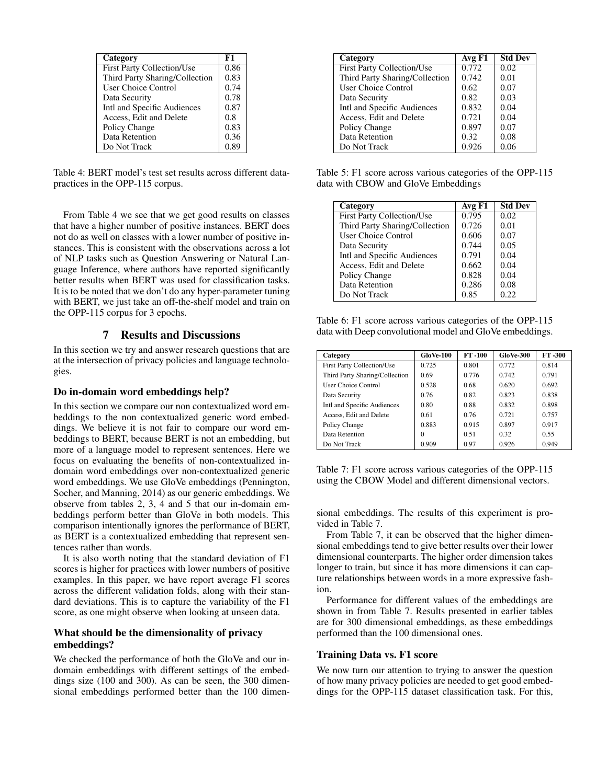| Category                          | F1   |
|-----------------------------------|------|
| <b>First Party Collection/Use</b> | 0.86 |
| Third Party Sharing/Collection    | 0.83 |
| <b>User Choice Control</b>        | 0.74 |
| Data Security                     | 0.78 |
| Intl and Specific Audiences       | 0.87 |
| Access, Edit and Delete           | 0.8  |
| Policy Change                     | 0.83 |
| Data Retention                    | 0.36 |
| Do Not Track                      | 0.89 |

Table 4: BERT model's test set results across different datapractices in the OPP-115 corpus.

From Table 4 we see that we get good results on classes that have a higher number of positive instances. BERT does not do as well on classes with a lower number of positive instances. This is consistent with the observations across a lot of NLP tasks such as Question Answering or Natural Language Inference, where authors have reported significantly better results when BERT was used for classification tasks. It is to be noted that we don't do any hyper-parameter tuning with BERT, we just take an off-the-shelf model and train on the OPP-115 corpus for 3 epochs.

#### 7 Results and Discussions

In this section we try and answer research questions that are at the intersection of privacy policies and language technologies.

#### Do in-domain word embeddings help?

In this section we compare our non contextualized word embeddings to the non contextualized generic word embeddings. We believe it is not fair to compare our word embeddings to BERT, because BERT is not an embedding, but more of a language model to represent sentences. Here we focus on evaluating the benefits of non-contextualized indomain word embeddings over non-contextualized generic word embeddings. We use GloVe embeddings (Pennington, Socher, and Manning, 2014) as our generic embeddings. We observe from tables 2, 3, 4 and 5 that our in-domain embeddings perform better than GloVe in both models. This comparison intentionally ignores the performance of BERT, as BERT is a contextualized embedding that represent sentences rather than words.

It is also worth noting that the standard deviation of F1 scores is higher for practices with lower numbers of positive examples. In this paper, we have report average F1 scores across the different validation folds, along with their standard deviations. This is to capture the variability of the F1 score, as one might observe when looking at unseen data.

## What should be the dimensionality of privacy embeddings?

We checked the performance of both the GloVe and our indomain embeddings with different settings of the embeddings size (100 and 300). As can be seen, the 300 dimensional embeddings performed better than the 100 dimen-

| Category                          | Avg F1 | <b>Std Dev</b> |
|-----------------------------------|--------|----------------|
| <b>First Party Collection/Use</b> | 0.772  | 0.02           |
| Third Party Sharing/Collection    | 0.742  | 0.01           |
| User Choice Control               | 0.62   | 0.07           |
| Data Security                     | 0.82   | 0.03           |
| Intl and Specific Audiences       | 0.832  | 0.04           |
| Access, Edit and Delete           | 0.721  | 0.04           |
| Policy Change                     | 0.897  | 0.07           |
| Data Retention                    | 0.32   | 0.08           |
| Do Not Track                      | 0.926  | 0.06           |

Table 5: F1 score across various categories of the OPP-115 data with CBOW and GloVe Embeddings

| Category                          | Avg F1 | <b>Std Dev</b> |
|-----------------------------------|--------|----------------|
| <b>First Party Collection/Use</b> | 0.795  | 0.02           |
| Third Party Sharing/Collection    | 0.726  | 0.01           |
| <b>User Choice Control</b>        | 0.606  | 0.07           |
| Data Security                     | 0.744  | 0.05           |
| Intl and Specific Audiences       | 0.791  | 0.04           |
| Access, Edit and Delete           | 0.662  | 0.04           |
| Policy Change                     | 0.828  | 0.04           |
| Data Retention                    | 0.286  | 0.08           |
| Do Not Track                      | 0.85   | 0.22           |

Table 6: F1 score across various categories of the OPP-115 data with Deep convolutional model and GloVe embeddings.

| Category                          | GloVe-100 | FT-100 | <b>GloVe-300</b> | <b>FT-300</b> |
|-----------------------------------|-----------|--------|------------------|---------------|
| <b>First Party Collection/Use</b> | 0.725     | 0.801  | 0.772            | 0.814         |
| Third Party Sharing/Collection    | 0.69      | 0.776  | 0.742            | 0.791         |
| <b>User Choice Control</b>        | 0.528     | 0.68   | 0.620            | 0.692         |
| Data Security                     | 0.76      | 0.82   | 0.823            | 0.838         |
| Intl and Specific Audiences       | 0.80      | 0.88   | 0.832            | 0.898         |
| Access, Edit and Delete           | 0.61      | 0.76   | 0.721            | 0.757         |
| Policy Change                     | 0.883     | 0.915  | 0.897            | 0.917         |
| Data Retention                    | 0         | 0.51   | 0.32             | 0.55          |
| Do Not Track                      | 0.909     | 0.97   | 0.926            | 0.949         |

Table 7: F1 score across various categories of the OPP-115 using the CBOW Model and different dimensional vectors.

sional embeddings. The results of this experiment is provided in Table 7.

From Table 7, it can be observed that the higher dimensional embeddings tend to give better results over their lower dimensional counterparts. The higher order dimension takes longer to train, but since it has more dimensions it can capture relationships between words in a more expressive fashion.

Performance for different values of the embeddings are shown in from Table 7. Results presented in earlier tables are for 300 dimensional embeddings, as these embeddings performed than the 100 dimensional ones.

#### Training Data vs. F1 score

We now turn our attention to trying to answer the question of how many privacy policies are needed to get good embeddings for the OPP-115 dataset classification task. For this,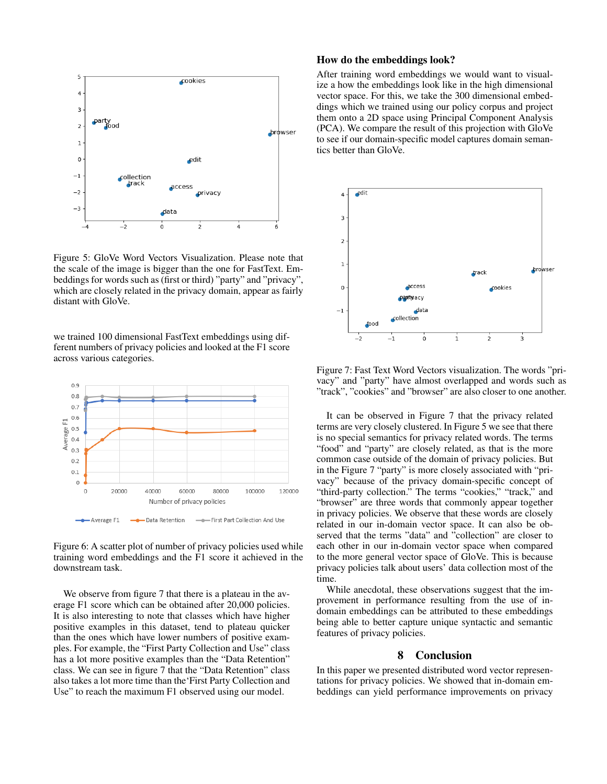

Figure 5: GloVe Word Vectors Visualization. Please note that the scale of the image is bigger than the one for FastText. Embeddings for words such as (first or third) "party" and "privacy", which are closely related in the privacy domain, appear as fairly distant with GloVe.

we trained 100 dimensional FastText embeddings using different numbers of privacy policies and looked at the F1 score across various categories.



Figure 6: A scatter plot of number of privacy policies used while training word embeddings and the F1 score it achieved in the downstream task.

We observe from figure 7 that there is a plateau in the average F1 score which can be obtained after 20,000 policies. It is also interesting to note that classes which have higher positive examples in this dataset, tend to plateau quicker than the ones which have lower numbers of positive examples. For example, the "First Party Collection and Use" class has a lot more positive examples than the "Data Retention" class. We can see in figure 7 that the "Data Retention" class also takes a lot more time than the'First Party Collection and Use" to reach the maximum F1 observed using our model.

## How do the embeddings look?

After training word embeddings we would want to visualize a how the embeddings look like in the high dimensional vector space. For this, we take the 300 dimensional embeddings which we trained using our policy corpus and project them onto a 2D space using Principal Component Analysis (PCA). We compare the result of this projection with GloVe to see if our domain-specific model captures domain semantics better than GloVe.



Figure 7: Fast Text Word Vectors visualization. The words "privacy" and "party" have almost overlapped and words such as "track", "cookies" and "browser" are also closer to one another.

It can be observed in Figure 7 that the privacy related terms are very closely clustered. In Figure 5 we see that there is no special semantics for privacy related words. The terms "food" and "party" are closely related, as that is the more common case outside of the domain of privacy policies. But in the Figure 7 "party" is more closely associated with "privacy" because of the privacy domain-specific concept of "third-party collection." The terms "cookies," "track," and "browser" are three words that commonly appear together in privacy policies. We observe that these words are closely related in our in-domain vector space. It can also be observed that the terms "data" and "collection" are closer to each other in our in-domain vector space when compared to the more general vector space of GloVe. This is because privacy policies talk about users' data collection most of the time.

While anecdotal, these observations suggest that the improvement in performance resulting from the use of indomain embeddings can be attributed to these embeddings being able to better capture unique syntactic and semantic features of privacy policies.

## 8 Conclusion

In this paper we presented distributed word vector representations for privacy policies. We showed that in-domain embeddings can yield performance improvements on privacy